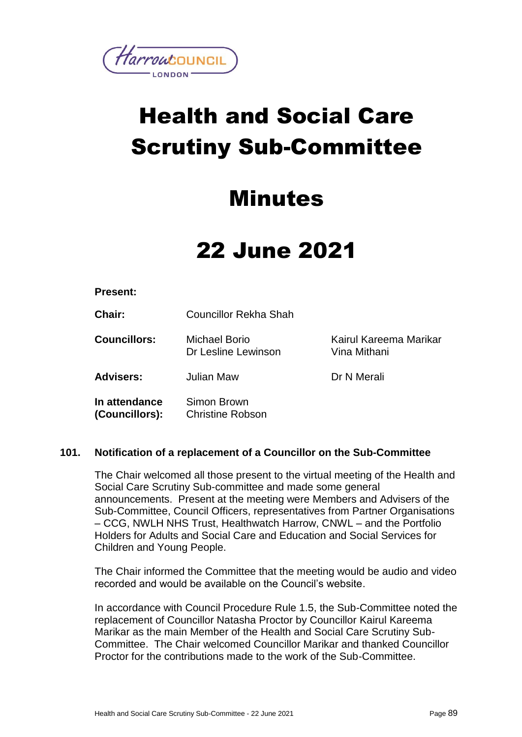

# Health and Social Care Scrutiny Sub-Committee

# Minutes

# 22 June 2021

# **Present:**

**Chair:** Councillor Rekha Shah

**Councillors:** Michael Borio Dr Lesline Lewinson Kairul Kareema Marikar Vina Mithani

**Advisers:** Julian Maw Dr N Merali

**In attendance (Councillors):** Simon Brown Christine Robson

# **101. Notification of a replacement of a Councillor on the Sub-Committee**

The Chair welcomed all those present to the virtual meeting of the Health and Social Care Scrutiny Sub-committee and made some general announcements. Present at the meeting were Members and Advisers of the Sub-Committee, Council Officers, representatives from Partner Organisations – CCG, NWLH NHS Trust, Healthwatch Harrow, CNWL – and the Portfolio Holders for Adults and Social Care and Education and Social Services for Children and Young People.

The Chair informed the Committee that the meeting would be audio and video recorded and would be available on the Council's website.

In accordance with Council Procedure Rule 1.5, the Sub-Committee noted the replacement of Councillor Natasha Proctor by Councillor Kairul Kareema Marikar as the main Member of the Health and Social Care Scrutiny Sub-Committee. The Chair welcomed Councillor Marikar and thanked Councillor Proctor for the contributions made to the work of the Sub-Committee.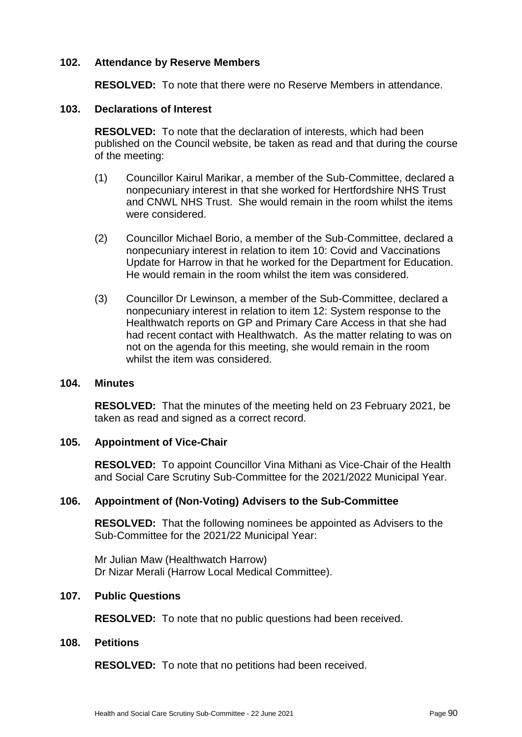#### **102. Attendance by Reserve Members**

**RESOLVED:** To note that there were no Reserve Members in attendance.

#### **103. Declarations of Interest**

**RESOLVED:** To note that the declaration of interests, which had been published on the Council website, be taken as read and that during the course of the meeting:

- (1) Councillor Kairul Marikar, a member of the Sub-Committee, declared a nonpecuniary interest in that she worked for Hertfordshire NHS Trust and CNWL NHS Trust. She would remain in the room whilst the items were considered.
- (2) Councillor Michael Borio, a member of the Sub-Committee, declared a nonpecuniary interest in relation to item 10: Covid and Vaccinations Update for Harrow in that he worked for the Department for Education. He would remain in the room whilst the item was considered.
- (3) Councillor Dr Lewinson, a member of the Sub-Committee, declared a nonpecuniary interest in relation to item 12: System response to the Healthwatch reports on GP and Primary Care Access in that she had had recent contact with Healthwatch. As the matter relating to was on not on the agenda for this meeting, she would remain in the room whilst the item was considered.

#### **104. Minutes**

**RESOLVED:** That the minutes of the meeting held on 23 February 2021, be taken as read and signed as a correct record.

#### **105. Appointment of Vice-Chair**

**RESOLVED:** To appoint Councillor Vina Mithani as Vice-Chair of the Health and Social Care Scrutiny Sub-Committee for the 2021/2022 Municipal Year.

# **106. Appointment of (Non-Voting) Advisers to the Sub-Committee**

**RESOLVED:** That the following nominees be appointed as Advisers to the Sub-Committee for the 2021/22 Municipal Year:

Mr Julian Maw (Healthwatch Harrow) Dr Nizar Merali (Harrow Local Medical Committee).

#### **107. Public Questions**

**RESOLVED:** To note that no public questions had been received.

#### **108. Petitions**

**RESOLVED:** To note that no petitions had been received.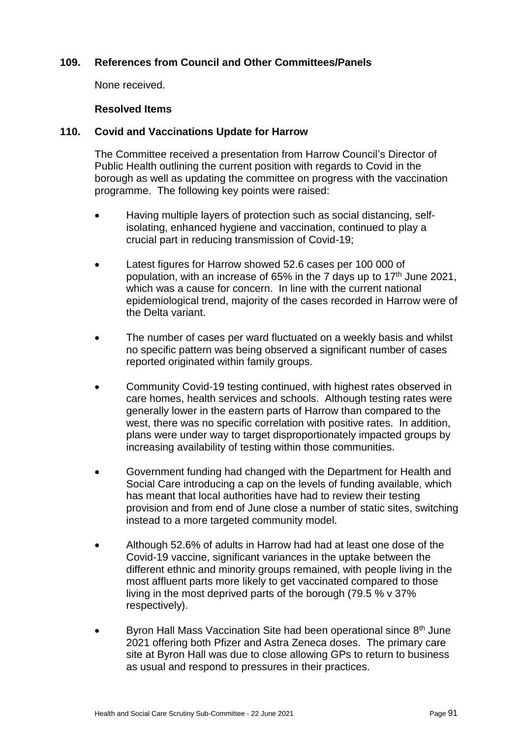# **109. References from Council and Other Committees/Panels**

None received.

#### **Resolved Items**

#### **110. Covid and Vaccinations Update for Harrow**

The Committee received a presentation from Harrow Council's Director of Public Health outlining the current position with regards to Covid in the borough as well as updating the committee on progress with the vaccination programme. The following key points were raised:

- Having multiple layers of protection such as social distancing, selfisolating, enhanced hygiene and vaccination, continued to play a crucial part in reducing transmission of Covid-19;
- Latest figures for Harrow showed 52.6 cases per 100 000 of population, with an increase of 65% in the 7 days up to 17<sup>th</sup> June 2021, which was a cause for concern. In line with the current national epidemiological trend, majority of the cases recorded in Harrow were of the Delta variant.
- The number of cases per ward fluctuated on a weekly basis and whilst no specific pattern was being observed a significant number of cases reported originated within family groups.
- Community Covid-19 testing continued, with highest rates observed in care homes, health services and schools. Although testing rates were generally lower in the eastern parts of Harrow than compared to the west, there was no specific correlation with positive rates. In addition, plans were under way to target disproportionately impacted groups by increasing availability of testing within those communities.
- Government funding had changed with the Department for Health and Social Care introducing a cap on the levels of funding available, which has meant that local authorities have had to review their testing provision and from end of June close a number of static sites, switching instead to a more targeted community model.
- Although 52.6% of adults in Harrow had had at least one dose of the Covid-19 vaccine, significant variances in the uptake between the different ethnic and minority groups remained, with people living in the most affluent parts more likely to get vaccinated compared to those living in the most deprived parts of the borough (79.5 % v 37% respectively).
- Byron Hall Mass Vaccination Site had been operational since 8<sup>th</sup> June 2021 offering both Pfizer and Astra Zeneca doses. The primary care site at Byron Hall was due to close allowing GPs to return to business as usual and respond to pressures in their practices.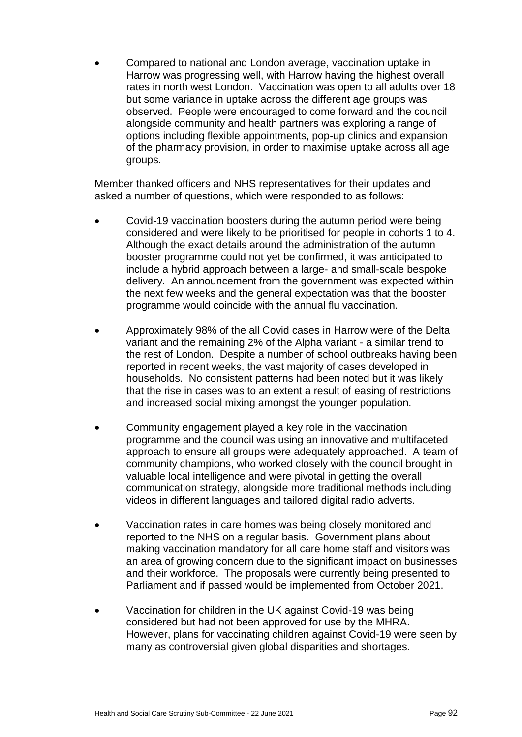Compared to national and London average, vaccination uptake in Harrow was progressing well, with Harrow having the highest overall rates in north west London. Vaccination was open to all adults over 18 but some variance in uptake across the different age groups was observed. People were encouraged to come forward and the council alongside community and health partners was exploring a range of options including flexible appointments, pop-up clinics and expansion of the pharmacy provision, in order to maximise uptake across all age groups.

Member thanked officers and NHS representatives for their updates and asked a number of questions, which were responded to as follows:

- Covid-19 vaccination boosters during the autumn period were being considered and were likely to be prioritised for people in cohorts 1 to 4. Although the exact details around the administration of the autumn booster programme could not yet be confirmed, it was anticipated to include a hybrid approach between a large- and small-scale bespoke delivery. An announcement from the government was expected within the next few weeks and the general expectation was that the booster programme would coincide with the annual flu vaccination.
- Approximately 98% of the all Covid cases in Harrow were of the Delta variant and the remaining 2% of the Alpha variant - a similar trend to the rest of London. Despite a number of school outbreaks having been reported in recent weeks, the vast majority of cases developed in households. No consistent patterns had been noted but it was likely that the rise in cases was to an extent a result of easing of restrictions and increased social mixing amongst the younger population.
- Community engagement played a key role in the vaccination programme and the council was using an innovative and multifaceted approach to ensure all groups were adequately approached. A team of community champions, who worked closely with the council brought in valuable local intelligence and were pivotal in getting the overall communication strategy, alongside more traditional methods including videos in different languages and tailored digital radio adverts.
- Vaccination rates in care homes was being closely monitored and reported to the NHS on a regular basis. Government plans about making vaccination mandatory for all care home staff and visitors was an area of growing concern due to the significant impact on businesses and their workforce. The proposals were currently being presented to Parliament and if passed would be implemented from October 2021.
- Vaccination for children in the UK against Covid-19 was being considered but had not been approved for use by the MHRA. However, plans for vaccinating children against Covid-19 were seen by many as controversial given global disparities and shortages.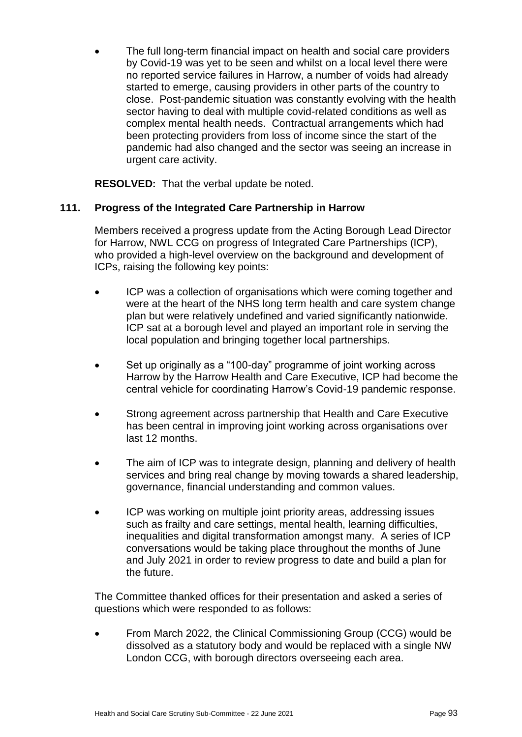The full long-term financial impact on health and social care providers by Covid-19 was yet to be seen and whilst on a local level there were no reported service failures in Harrow, a number of voids had already started to emerge, causing providers in other parts of the country to close. Post-pandemic situation was constantly evolving with the health sector having to deal with multiple covid-related conditions as well as complex mental health needs. Contractual arrangements which had been protecting providers from loss of income since the start of the pandemic had also changed and the sector was seeing an increase in urgent care activity.

**RESOLVED:** That the verbal update be noted.

# **111. Progress of the Integrated Care Partnership in Harrow**

Members received a progress update from the Acting Borough Lead Director for Harrow, NWL CCG on progress of Integrated Care Partnerships (ICP), who provided a high-level overview on the background and development of ICPs, raising the following key points:

- ICP was a collection of organisations which were coming together and were at the heart of the NHS long term health and care system change plan but were relatively undefined and varied significantly nationwide. ICP sat at a borough level and played an important role in serving the local population and bringing together local partnerships.
- Set up originally as a "100-day" programme of joint working across Harrow by the Harrow Health and Care Executive, ICP had become the central vehicle for coordinating Harrow's Covid-19 pandemic response.
- Strong agreement across partnership that Health and Care Executive has been central in improving joint working across organisations over last 12 months.
- The aim of ICP was to integrate design, planning and delivery of health services and bring real change by moving towards a shared leadership, governance, financial understanding and common values.
- ICP was working on multiple joint priority areas, addressing issues such as frailty and care settings, mental health, learning difficulties, inequalities and digital transformation amongst many. A series of ICP conversations would be taking place throughout the months of June and July 2021 in order to review progress to date and build a plan for the future.

The Committee thanked offices for their presentation and asked a series of questions which were responded to as follows:

 From March 2022, the Clinical Commissioning Group (CCG) would be dissolved as a statutory body and would be replaced with a single NW London CCG, with borough directors overseeing each area.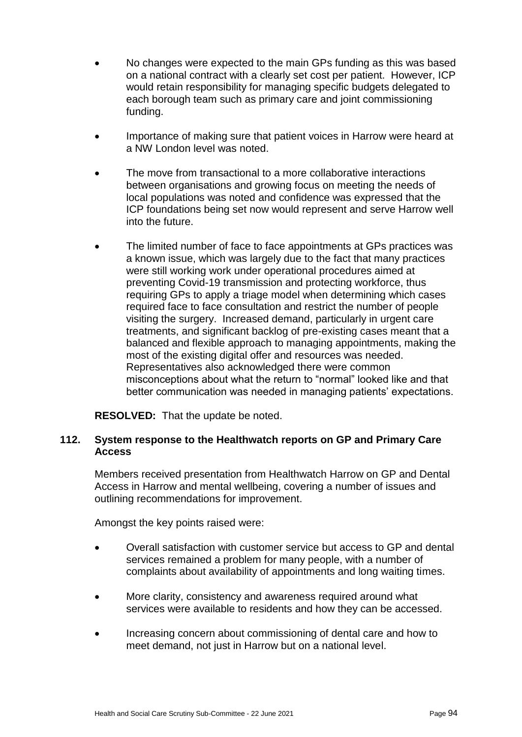- No changes were expected to the main GPs funding as this was based on a national contract with a clearly set cost per patient. However, ICP would retain responsibility for managing specific budgets delegated to each borough team such as primary care and joint commissioning funding.
- Importance of making sure that patient voices in Harrow were heard at a NW London level was noted.
- The move from transactional to a more collaborative interactions between organisations and growing focus on meeting the needs of local populations was noted and confidence was expressed that the ICP foundations being set now would represent and serve Harrow well into the future.
- The limited number of face to face appointments at GPs practices was a known issue, which was largely due to the fact that many practices were still working work under operational procedures aimed at preventing Covid-19 transmission and protecting workforce, thus requiring GPs to apply a triage model when determining which cases required face to face consultation and restrict the number of people visiting the surgery. Increased demand, particularly in urgent care treatments, and significant backlog of pre-existing cases meant that a balanced and flexible approach to managing appointments, making the most of the existing digital offer and resources was needed. Representatives also acknowledged there were common misconceptions about what the return to "normal" looked like and that better communication was needed in managing patients' expectations.

**RESOLVED:** That the update be noted.

# **112. System response to the Healthwatch reports on GP and Primary Care Access**

Members received presentation from Healthwatch Harrow on GP and Dental Access in Harrow and mental wellbeing, covering a number of issues and outlining recommendations for improvement.

Amongst the key points raised were:

- Overall satisfaction with customer service but access to GP and dental services remained a problem for many people, with a number of complaints about availability of appointments and long waiting times.
- More clarity, consistency and awareness required around what services were available to residents and how they can be accessed.
- Increasing concern about commissioning of dental care and how to meet demand, not just in Harrow but on a national level.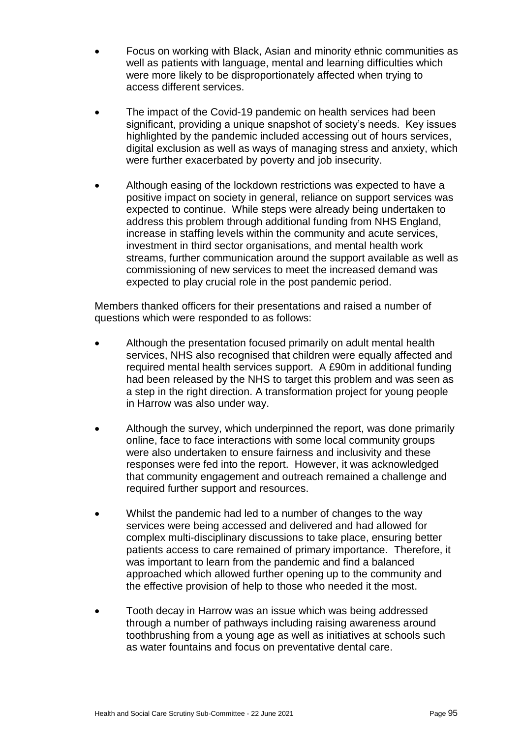- Focus on working with Black, Asian and minority ethnic communities as well as patients with language, mental and learning difficulties which were more likely to be disproportionately affected when trying to access different services.
- The impact of the Covid-19 pandemic on health services had been significant, providing a unique snapshot of society's needs. Key issues highlighted by the pandemic included accessing out of hours services, digital exclusion as well as ways of managing stress and anxiety, which were further exacerbated by poverty and job insecurity.
- Although easing of the lockdown restrictions was expected to have a positive impact on society in general, reliance on support services was expected to continue. While steps were already being undertaken to address this problem through additional funding from NHS England, increase in staffing levels within the community and acute services, investment in third sector organisations, and mental health work streams, further communication around the support available as well as commissioning of new services to meet the increased demand was expected to play crucial role in the post pandemic period.

Members thanked officers for their presentations and raised a number of questions which were responded to as follows:

- Although the presentation focused primarily on adult mental health services, NHS also recognised that children were equally affected and required mental health services support. A £90m in additional funding had been released by the NHS to target this problem and was seen as a step in the right direction. A transformation project for young people in Harrow was also under way.
- Although the survey, which underpinned the report, was done primarily online, face to face interactions with some local community groups were also undertaken to ensure fairness and inclusivity and these responses were fed into the report. However, it was acknowledged that community engagement and outreach remained a challenge and required further support and resources.
- Whilst the pandemic had led to a number of changes to the way services were being accessed and delivered and had allowed for complex multi-disciplinary discussions to take place, ensuring better patients access to care remained of primary importance. Therefore, it was important to learn from the pandemic and find a balanced approached which allowed further opening up to the community and the effective provision of help to those who needed it the most.
- Tooth decay in Harrow was an issue which was being addressed through a number of pathways including raising awareness around toothbrushing from a young age as well as initiatives at schools such as water fountains and focus on preventative dental care.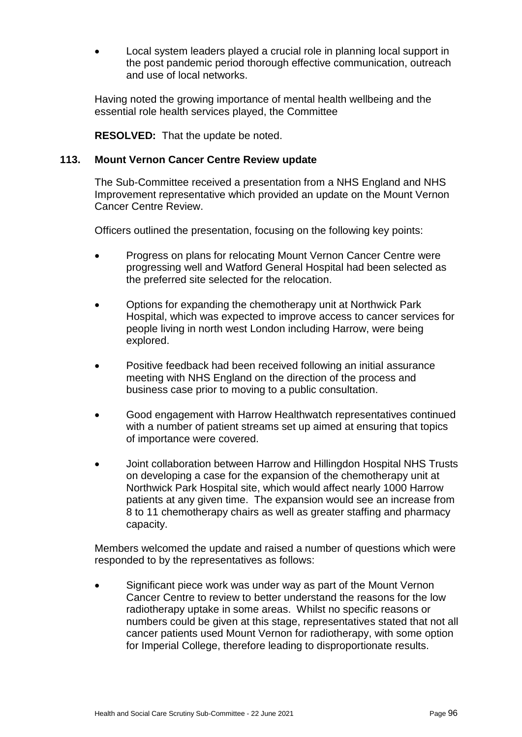Local system leaders played a crucial role in planning local support in the post pandemic period thorough effective communication, outreach and use of local networks.

Having noted the growing importance of mental health wellbeing and the essential role health services played, the Committee

**RESOLVED:** That the update be noted.

#### **113. Mount Vernon Cancer Centre Review update**

The Sub-Committee received a presentation from a NHS England and NHS Improvement representative which provided an update on the Mount Vernon Cancer Centre Review.

Officers outlined the presentation, focusing on the following key points:

- Progress on plans for relocating Mount Vernon Cancer Centre were progressing well and Watford General Hospital had been selected as the preferred site selected for the relocation.
- Options for expanding the chemotherapy unit at Northwick Park Hospital, which was expected to improve access to cancer services for people living in north west London including Harrow, were being explored.
- Positive feedback had been received following an initial assurance meeting with NHS England on the direction of the process and business case prior to moving to a public consultation.
- Good engagement with Harrow Healthwatch representatives continued with a number of patient streams set up aimed at ensuring that topics of importance were covered.
- Joint collaboration between Harrow and Hillingdon Hospital NHS Trusts on developing a case for the expansion of the chemotherapy unit at Northwick Park Hospital site, which would affect nearly 1000 Harrow patients at any given time. The expansion would see an increase from 8 to 11 chemotherapy chairs as well as greater staffing and pharmacy capacity.

Members welcomed the update and raised a number of questions which were responded to by the representatives as follows:

 Significant piece work was under way as part of the Mount Vernon Cancer Centre to review to better understand the reasons for the low radiotherapy uptake in some areas. Whilst no specific reasons or numbers could be given at this stage, representatives stated that not all cancer patients used Mount Vernon for radiotherapy, with some option for Imperial College, therefore leading to disproportionate results.